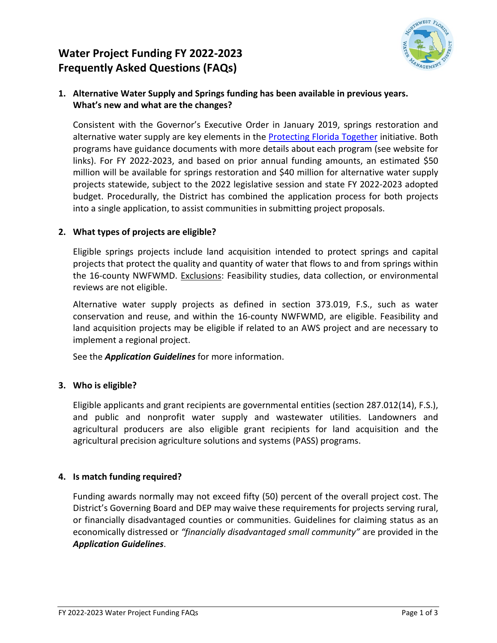# **Water Project Funding FY 2022-2023 Frequently Asked Questions (FAQs)**



# **1. Alternative Water Supply and Springs funding has been available in previous years. What's new and what are the changes?**

Consistent with the Governor's Executive Order in January 2019, springs restoration and alternative water supply are key elements in the [Protecting Florida Together](https://protectingfloridatogether.gov/state-action/grants-submissions) initiative. Both programs have guidance documents with more details about each program (see website for links). For FY 2022-2023, and based on prior annual funding amounts, an estimated \$50 million will be available for springs restoration and \$40 million for alternative water supply projects statewide, subject to the 2022 legislative session and state FY 2022-2023 adopted budget. Procedurally, the District has combined the application process for both projects into a single application, to assist communities in submitting project proposals.

# **2. What types of projects are eligible?**

Eligible springs projects include land acquisition intended to protect springs and capital projects that protect the quality and quantity of water that flows to and from springs within the 16-county NWFWMD. Exclusions: Feasibility studies, data collection, or environmental reviews are not eligible.

Alternative water supply projects as defined in section 373.019, F.S., such as water conservation and reuse, and within the 16-county NWFWMD, are eligible. Feasibility and land acquisition projects may be eligible if related to an AWS project and are necessary to implement a regional project.

See the *Application Guidelines* for more information.

# **3. Who is eligible?**

Eligible applicants and grant recipients are governmental entities (section 287.012(14), F.S.), and public and nonprofit water supply and wastewater utilities. Landowners and agricultural producers are also eligible grant recipients for land acquisition and the agricultural precision agriculture solutions and systems (PASS) programs.

#### **4. Is match funding required?**

Funding awards normally may not exceed fifty (50) percent of the overall project cost. The District's Governing Board and DEP may waive these requirements for projects serving rural, or financially disadvantaged counties or communities. Guidelines for claiming status as an economically distressed or *"financially disadvantaged small community"* are provided in the *Application Guidelines*.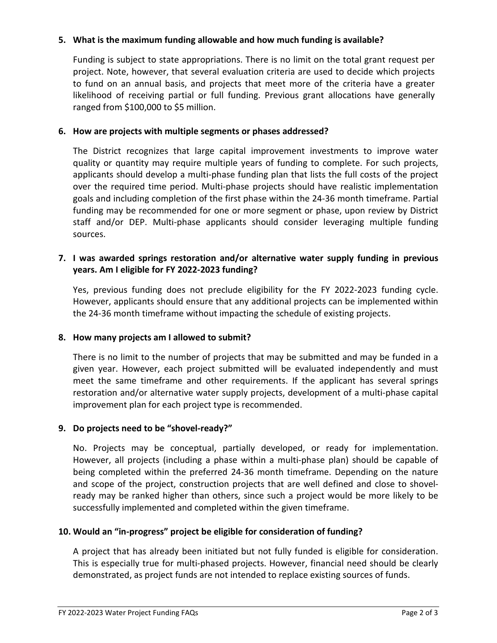### **5. What is the maximum funding allowable and how much funding is available?**

Funding is subject to state appropriations. There is no limit on the total grant request per project. Note, however, that several evaluation criteria are used to decide which projects to fund on an annual basis, and projects that meet more of the criteria have a greater likelihood of receiving partial or full funding. Previous grant allocations have generally ranged from \$100,000 to \$5 million.

### **6. How are projects with multiple segments or phases addressed?**

The District recognizes that large capital improvement investments to improve water quality or quantity may require multiple years of funding to complete. For such projects, applicants should develop a multi-phase funding plan that lists the full costs of the project over the required time period. Multi-phase projects should have realistic implementation goals and including completion of the first phase within the 24-36 month timeframe. Partial funding may be recommended for one or more segment or phase, upon review by District staff and/or DEP. Multi-phase applicants should consider leveraging multiple funding sources.

## **7. I was awarded springs restoration and/or alternative water supply funding in previous years. Am I eligible for FY 2022-2023 funding?**

Yes, previous funding does not preclude eligibility for the FY 2022-2023 funding cycle. However, applicants should ensure that any additional projects can be implemented within the 24-36 month timeframe without impacting the schedule of existing projects.

# **8. How many projects am I allowed to submit?**

There is no limit to the number of projects that may be submitted and may be funded in a given year. However, each project submitted will be evaluated independently and must meet the same timeframe and other requirements. If the applicant has several springs restoration and/or alternative water supply projects, development of a multi-phase capital improvement plan for each project type is recommended.

# **9. Do projects need to be "shovel-ready?"**

No. Projects may be conceptual, partially developed, or ready for implementation. However, all projects (including a phase within a multi-phase plan) should be capable of being completed within the preferred 24-36 month timeframe. Depending on the nature and scope of the project, construction projects that are well defined and close to shovelready may be ranked higher than others, since such a project would be more likely to be successfully implemented and completed within the given timeframe.

# **10. Would an "in-progress" project be eligible for consideration of funding?**

A project that has already been initiated but not fully funded is eligible for consideration. This is especially true for multi-phased projects. However, financial need should be clearly demonstrated, as project funds are not intended to replace existing sources of funds.